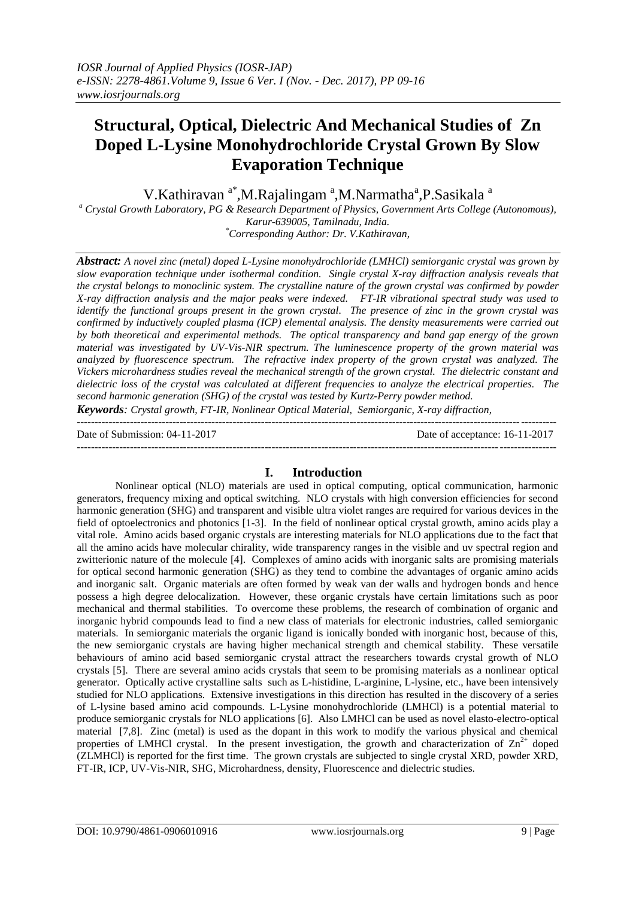# **Structural, Optical, Dielectric And Mechanical Studies of Zn Doped L-Lysine Monohydrochloride Crystal Grown By Slow Evaporation Technique**

V.Kathiravan<sup>a\*</sup>,M.Rajalingam<sup>a</sup>,M.Narmatha<sup>a</sup>,P.Sasikala<sup>a</sup>

*<sup>a</sup> Crystal Growth Laboratory, PG & Research Department of Physics, Government Arts College (Autonomous), Karur-639005, Tamilnadu, India.*

*\*Corresponding Author: Dr. V.Kathiravan,* 

*Abstract: A novel zinc (metal) doped L-Lysine monohydrochloride (LMHCl) semiorganic crystal was grown by slow evaporation technique under isothermal condition. Single crystal X-ray diffraction analysis reveals that the crystal belongs to monoclinic system. The crystalline nature of the grown crystal was confirmed by powder X-ray diffraction analysis and the major peaks were indexed. FT-IR vibrational spectral study was used to identify the functional groups present in the grown crystal. The presence of zinc in the grown crystal was confirmed by inductively coupled plasma (ICP) elemental analysis. The density measurements were carried out by both theoretical and experimental methods. The optical transparency and band gap energy of the grown material was investigated by UV-Vis-NIR spectrum. The luminescence property of the grown material was analyzed by fluorescence spectrum. The refractive index property of the grown crystal was analyzed. The Vickers microhardness studies reveal the mechanical strength of the grown crystal. The dielectric constant and dielectric loss of the crystal was calculated at different frequencies to analyze the electrical properties. The second harmonic generation (SHG) of the crystal was tested by Kurtz-Perry powder method.*

*Keywords: Crystal growth, FT-IR, Nonlinear Optical Material, Semiorganic, X-ray diffraction,*  $-1\leq i\leq n-1$ 

Date of Submission: 04-11-2017 Date of acceptance: 16-11-2017

#### ---------------------------------------------------------------------------------------------------------------------------------------

# **I. Introduction**

Nonlinear optical (NLO) materials are used in optical computing, optical communication, harmonic generators, frequency mixing and optical switching. NLO crystals with high conversion efficiencies for second harmonic generation (SHG) and transparent and visible ultra violet ranges are required for various devices in the field of optoelectronics and photonics [1-3]. In the field of nonlinear optical crystal growth, amino acids play a vital role. Amino acids based organic crystals are interesting materials for NLO applications due to the fact that all the amino acids have molecular chirality, wide transparency ranges in the visible and uv spectral region and zwitterionic nature of the molecule [4]. Complexes of amino acids with inorganic salts are promising materials for optical second harmonic generation (SHG) as they tend to combine the advantages of organic amino acids and inorganic salt. Organic materials are often formed by weak van der walls and hydrogen bonds and hence possess a high degree delocalization. However, these organic crystals have certain limitations such as poor mechanical and thermal stabilities. To overcome these problems, the research of combination of organic and inorganic hybrid compounds lead to find a new class of materials for electronic industries, called semiorganic materials. In semiorganic materials the organic ligand is ionically bonded with inorganic host, because of this, the new semiorganic crystals are having higher mechanical strength and chemical stability. These versatile behaviours of amino acid based semiorganic crystal attract the researchers towards crystal growth of NLO crystals [5]. There are several amino acids crystals that seem to be promising materials as a nonlinear optical generator. Optically active crystalline salts such as L-histidine, L-arginine, L-lysine, etc., have been intensively studied for NLO applications. Extensive investigations in this direction has resulted in the discovery of a series of L-lysine based amino acid compounds. L-Lysine monohydrochloride (LMHCl) is a potential material to produce semiorganic crystals for NLO applications [6]. Also LMHCl can be used as novel elasto-electro-optical material [7,8]. Zinc (metal) is used as the dopant in this work to modify the various physical and chemical properties of LMHCl crystal. In the present investigation, the growth and characterization of  $\text{Zn}^{2+}$  doped (ZLMHCl) is reported for the first time. The grown crystals are subjected to single crystal XRD, powder XRD, FT-IR, ICP, UV-Vis-NIR, SHG, Microhardness, density, Fluorescence and dielectric studies.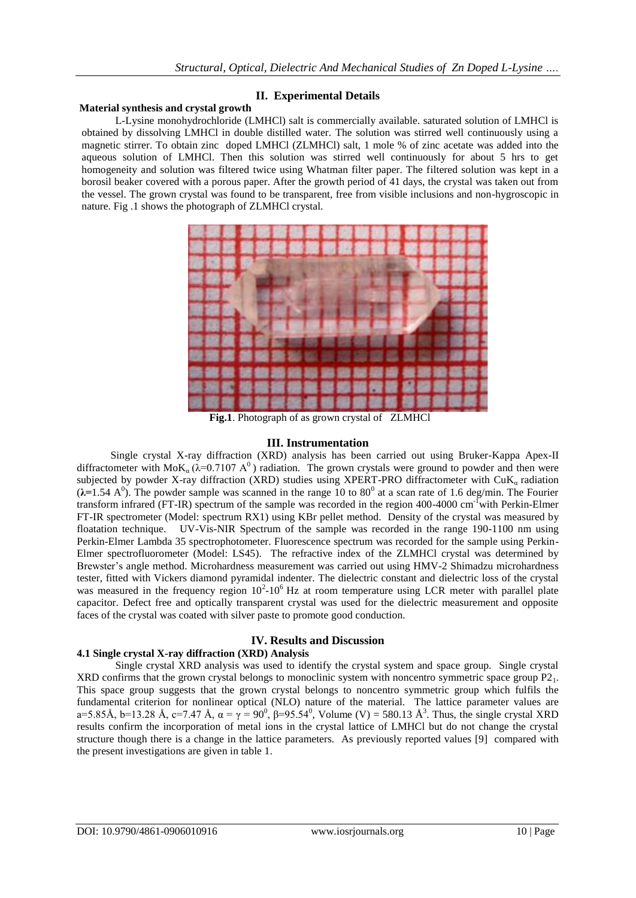## **II. Experimental Details**

#### **Material synthesis and crystal growth**

L-Lysine monohydrochloride (LMHCl) salt is commercially available. saturated solution of LMHCl is obtained by dissolving LMHCl in double distilled water. The solution was stirred well continuously using a magnetic stirrer. To obtain zinc doped LMHCl (ZLMHCl) salt, 1 mole % of zinc acetate was added into the aqueous solution of LMHCl. Then this solution was stirred well continuously for about 5 hrs to get homogeneity and solution was filtered twice using Whatman filter paper. The filtered solution was kept in a borosil beaker covered with a porous paper. After the growth period of 41 days, the crystal was taken out from the vessel. The grown crystal was found to be transparent, free from visible inclusions and non-hygroscopic in nature. Fig .1 shows the photograph of ZLMHCl crystal.



**Fig.1**. Photograph of as grown crystal of ZLMHCl

## **III. Instrumentation**

Single crystal X-ray diffraction (XRD) analysis has been carried out using Bruker-Kappa Apex-II diffractometer with MoK<sub>a</sub> ( $\lambda$ =0.7107 A<sup>0</sup>) radiation. The grown crystals were ground to powder and then were subjected by powder X-ray diffraction (XRD) studies using XPERT-PRO diffractometer with  $CuK_a$  radiation  $(\lambda=1.54 \text{ A}^0)$ . The powder sample was scanned in the range 10 to 80<sup>0</sup> at a scan rate of 1.6 deg/min. The Fourier transform infrared (FT-IR) spectrum of the sample was recorded in the region 400-4000 cm<sup>-1</sup>with Perkin-Elmer FT-IR spectrometer (Model: spectrum RX1) using KBr pellet method. Density of the crystal was measured by floatation technique. UV-Vis-NIR Spectrum of the sample was recorded in the range 190-1100 nm using Perkin-Elmer Lambda 35 spectrophotometer. Fluorescence spectrum was recorded for the sample using Perkin-Elmer spectrofluorometer (Model: LS45). The refractive index of the ZLMHCl crystal was determined by Brewster"s angle method. Microhardness measurement was carried out using HMV-2 Shimadzu microhardness tester, fitted with Vickers diamond pyramidal indenter. The dielectric constant and dielectric loss of the crystal was measured in the frequency region  $10^2$ -10<sup>6</sup> Hz at room temperature using LCR meter with parallel plate capacitor. Defect free and optically transparent crystal was used for the dielectric measurement and opposite faces of the crystal was coated with silver paste to promote good conduction.

# **IV. Results and Discussion**

## **4.1 Single crystal X-ray diffraction (XRD) Analysis**

Single crystal XRD analysis was used to identify the crystal system and space group. Single crystal XRD confirms that the grown crystal belongs to monoclinic system with noncentro symmetric space group P21. This space group suggests that the grown crystal belongs to noncentro symmetric group which fulfils the fundamental criterion for nonlinear optical (NLO) nature of the material. The lattice parameter values are a=5.85Å, b=13.28 Å, c=7.47 Å,  $\alpha = \gamma = 90^0$ ,  $\beta = 95.54^0$ , Volume (V) = 580.13 Å<sup>3</sup>. Thus, the single crystal XRD results confirm the incorporation of metal ions in the crystal lattice of LMHCl but do not change the crystal structure though there is a change in the lattice parameters. As previously reported values [9] compared with the present investigations are given in table 1.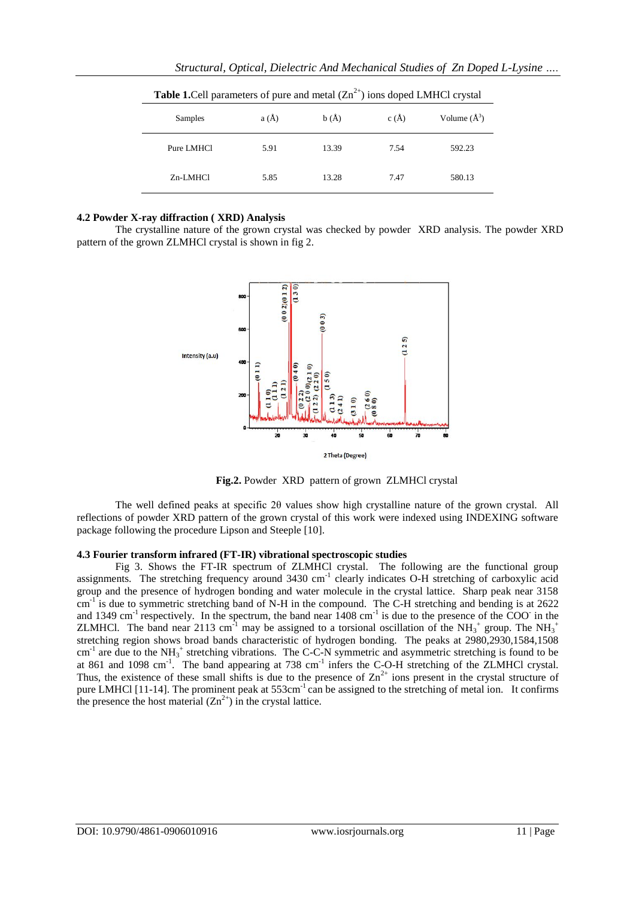| <b>Table 1.</b> Cell parameters of pure and metal $(Zn^{2+})$ ions doped LMHCl crystal |      |       |      |                  |
|----------------------------------------------------------------------------------------|------|-------|------|------------------|
| Samples                                                                                | a(A) | b(A)  | c(A) | Volume $(\AA^3)$ |
| Pure LMHCl                                                                             | 5.91 | 13.39 | 7.54 | 592.23           |
| Zn-LMHCl                                                                               | 5.85 | 13.28 | 7.47 | 580.13           |

*Structural, Optical, Dielectric And Mechanical Studies of Zn Doped L-Lysine ….*

#### **4.2 Powder X-ray diffraction ( XRD) Analysis**

The crystalline nature of the grown crystal was checked by powder XRD analysis. The powder XRD pattern of the grown ZLMHCl crystal is shown in fig 2.



**Fig.2.** Powder XRD pattern of grown ZLMHCl crystal

The well defined peaks at specific 2θ values show high crystalline nature of the grown crystal. All reflections of powder XRD pattern of the grown crystal of this work were indexed using INDEXING software package following the procedure Lipson and Steeple [10].

## **4.3 Fourier transform infrared (FT-IR) vibrational spectroscopic studies**

Fig 3. Shows the FT-IR spectrum of ZLMHCl crystal. The following are the functional group assignments. The stretching frequency around 3430 cm<sup>-1</sup> clearly indicates O-H stretching of carboxylic acid group and the presence of hydrogen bonding and water molecule in the crystal lattice. Sharp peak near 3158 cm<sup>-1</sup> is due to symmetric stretching band of N-H in the compound. The C-H stretching and bending is at 2622 and 1349 cm<sup>-1</sup> respectively. In the spectrum, the band near  $1408 \text{ cm}^{-1}$  is due to the presence of the COO in the ZLMHCl. The band near 2113 cm<sup>-1</sup> may be assigned to a torsional oscillation of the NH<sub>3</sub><sup>+</sup> group. The NH<sub>3</sub><sup>+</sup> stretching region shows broad bands characteristic of hydrogen bonding. The peaks at 2980,2930,1584,1508 cm<sup>-1</sup> are due to the NH<sub>3</sub><sup>+</sup> stretching vibrations. The C-C-N symmetric and asymmetric stretching is found to be at 861 and 1098 cm<sup>-1</sup>. The band appearing at 738 cm<sup>-1</sup> infers the C-O-H stretching of the ZLMHCl crystal. Thus, the existence of these small shifts is due to the presence of  $\text{Zn}^{2+}$  ions present in the crystal structure of pure LMHCl [11-14]. The prominent peak at 553cm<sup>-1</sup> can be assigned to the stretching of metal ion. It confirms the presence the host material  $(Zn^{2+})$  in the crystal lattice.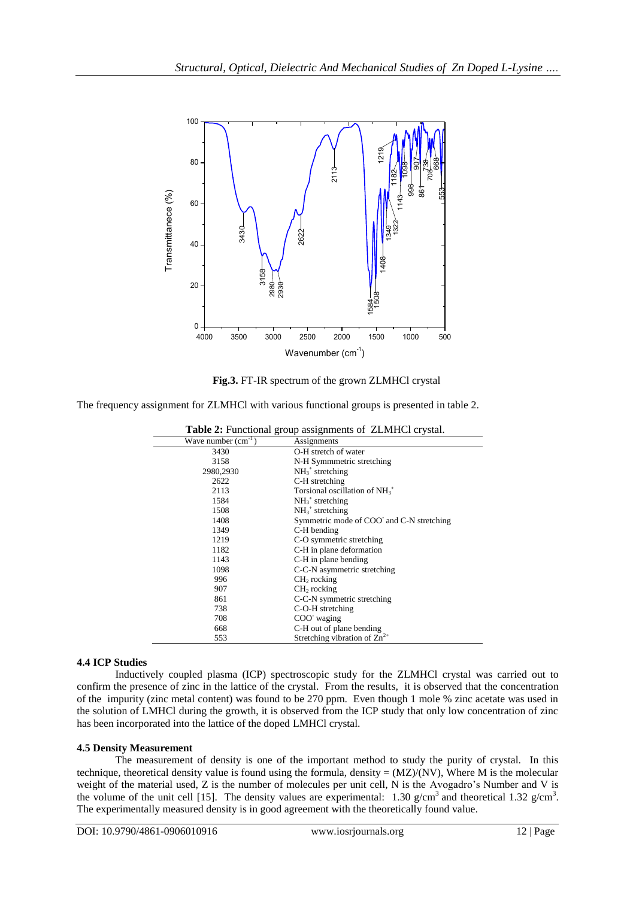

**Fig.3.** FT-IR spectrum of the grown ZLMHCl crystal

The frequency assignment for ZLMHCl with various functional groups is presented in table 2.

| <b>Table 2:</b> Functional group assignments of ZLMHCl crystal. |                                          |  |
|-----------------------------------------------------------------|------------------------------------------|--|
| Wave number $(cm-1)$                                            | Assignments                              |  |
| 3430                                                            | O-H stretch of water                     |  |
| 3158                                                            | N-H Symmmetric stretching                |  |
| 2980,2930                                                       | $NH3+ stretching$                        |  |
| 2622                                                            | C-H stretching                           |  |
| 2113                                                            | Torsional oscillation of $NH3+$          |  |
| 1584                                                            | $NH_3$ <sup>+</sup> stretching           |  |
| 1508                                                            | $NH_3^+$ stretching                      |  |
| 1408                                                            | Symmetric mode of COO and C-N stretching |  |
| 1349                                                            | C-H bending                              |  |
| 1219                                                            | C-O symmetric stretching                 |  |
| 1182                                                            | C-H in plane deformation                 |  |
| 1143                                                            | C-H in plane bending                     |  |
| 1098                                                            | C-C-N asymmetric stretching              |  |
| 996                                                             | $CH2$ rocking                            |  |
| 907                                                             | $CH2$ rocking                            |  |
| 861                                                             | C-C-N symmetric stretching               |  |
| 738                                                             | C-O-H stretching                         |  |
| 708                                                             | COO waging                               |  |
| 668                                                             | C-H out of plane bending                 |  |
| 553                                                             | Stretching vibration of $\text{Zn}^{2+}$ |  |

## **4.4 ICP Studies**

Inductively coupled plasma (ICP) spectroscopic study for the ZLMHCl crystal was carried out to confirm the presence of zinc in the lattice of the crystal. From the results, it is observed that the concentration of the impurity (zinc metal content) was found to be 270 ppm. Even though 1 mole % zinc acetate was used in the solution of LMHCl during the growth, it is observed from the ICP study that only low concentration of zinc has been incorporated into the lattice of the doped LMHCl crystal.

## **4.5 Density Measurement**

The measurement of density is one of the important method to study the purity of crystal. In this technique, theoretical density value is found using the formula, density  $=(MZ)/(NV)$ , Where M is the molecular weight of the material used, Z is the number of molecules per unit cell, N is the Avogadro"s Number and V is the volume of the unit cell [15]. The density values are experimental: 1.30  $g/cm^3$  and theoretical 1.32  $g/cm^3$ . The experimentally measured density is in good agreement with the theoretically found value.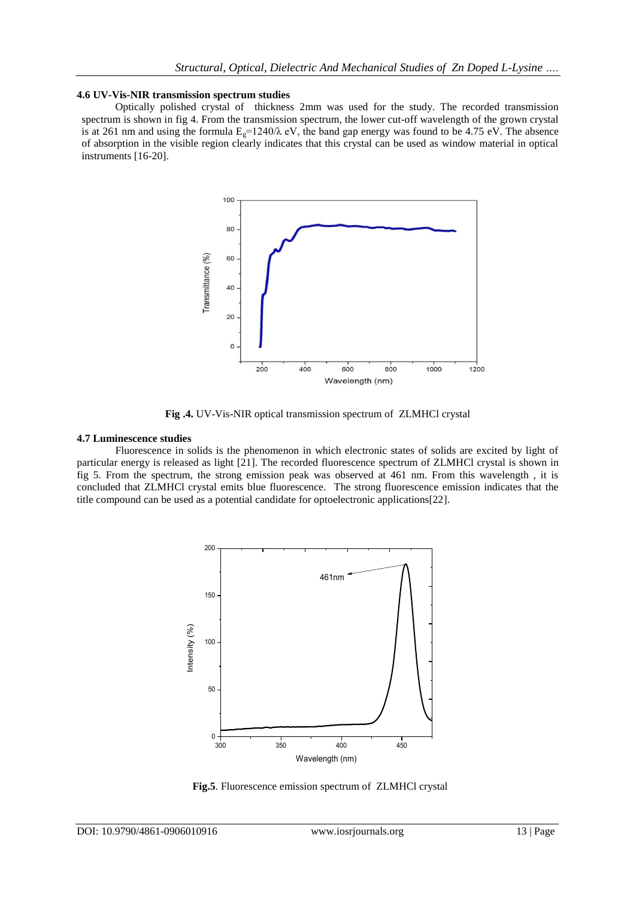#### **4.6 UV-Vis-NIR transmission spectrum studies**

Optically polished crystal of thickness 2mm was used for the study. The recorded transmission spectrum is shown in fig 4. From the transmission spectrum, the lower cut-off wavelength of the grown crystal is at 261 nm and using the formula  $E<sub>g</sub>=1240/\lambda$  eV, the band gap energy was found to be 4.75 eV. The absence of absorption in the visible region clearly indicates that this crystal can be used as window material in optical instruments [16-20].



**Fig .4.** UV-Vis-NIR optical transmission spectrum of ZLMHCl crystal

#### **4.7 Luminescence studies**

Fluorescence in solids is the phenomenon in which electronic states of solids are excited by light of particular energy is released as light [21]. The recorded fluorescence spectrum of ZLMHCl crystal is shown in fig 5. From the spectrum, the strong emission peak was observed at 461 nm. From this wavelength , it is concluded that ZLMHCl crystal emits blue fluorescence. The strong fluorescence emission indicates that the title compound can be used as a potential candidate for optoelectronic applications[22].



**Fig.5**. Fluorescence emission spectrum of ZLMHCl crystal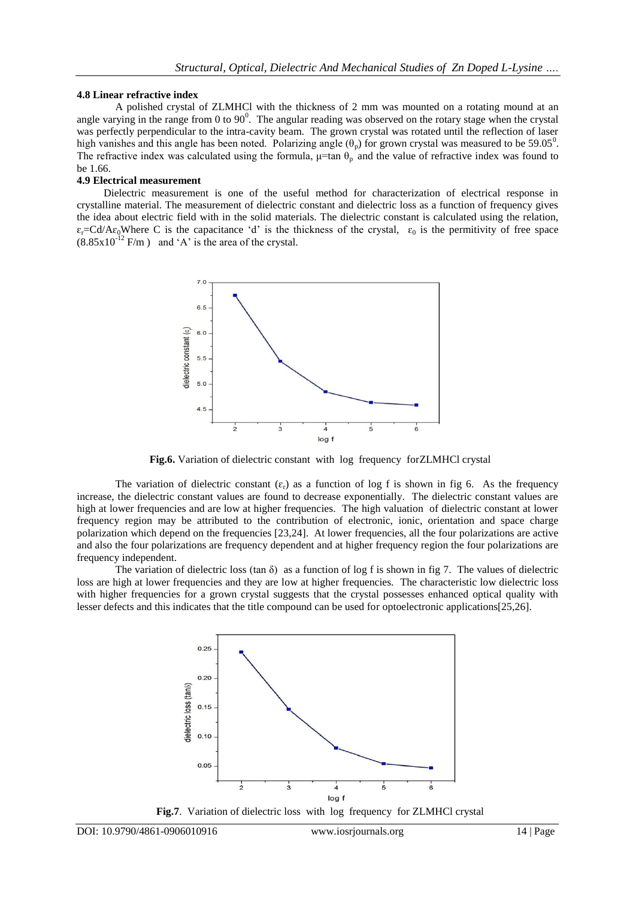#### **4.8 Linear refractive index**

A polished crystal of ZLMHCl with the thickness of 2 mm was mounted on a rotating mound at an angle varying in the range from 0 to  $90^0$ . The angular reading was observed on the rotary stage when the crystal was perfectly perpendicular to the intra-cavity beam. The grown crystal was rotated until the reflection of laser high vanishes and this angle has been noted. Polarizing angle  $(\theta_p)$  for grown crystal was measured to be 59.05<sup>0</sup>. The refractive index was calculated using the formula,  $\mu$ =tan  $\theta_p$  and the value of refractive index was found to be 1.66.

## **4.9 Electrical measurement**

 Dielectric measurement is one of the useful method for characterization of electrical response in crystalline material. The measurement of dielectric constant and dielectric loss as a function of frequency gives the idea about electric field with in the solid materials. The dielectric constant is calculated using the relation,  $\varepsilon_r = \text{Cd}/\text{A}\varepsilon_0$ Where C is the capacitance 'd' is the thickness of the crystal,  $\varepsilon_0$  is the permitivity of free space  $(8.85 \times 10^{-12} \text{ F/m})$  and 'A' is the area of the crystal.



**Fig.6.** Variation of dielectric constant with log frequency forZLMHCl crystal

The variation of dielectric constant  $(\varepsilon_r)$  as a function of log f is shown in fig 6. As the frequency increase, the dielectric constant values are found to decrease exponentially. The dielectric constant values are high at lower frequencies and are low at higher frequencies. The high valuation of dielectric constant at lower frequency region may be attributed to the contribution of electronic, ionic, orientation and space charge polarization which depend on the frequencies [23,24]. At lower frequencies, all the four polarizations are active and also the four polarizations are frequency dependent and at higher frequency region the four polarizations are frequency independent.

The variation of dielectric loss (tan  $\delta$ ) as a function of log f is shown in fig 7. The values of dielectric loss are high at lower frequencies and they are low at higher frequencies. The characteristic low dielectric loss with higher frequencies for a grown crystal suggests that the crystal possesses enhanced optical quality with lesser defects and this indicates that the title compound can be used for optoelectronic applications[25,26].



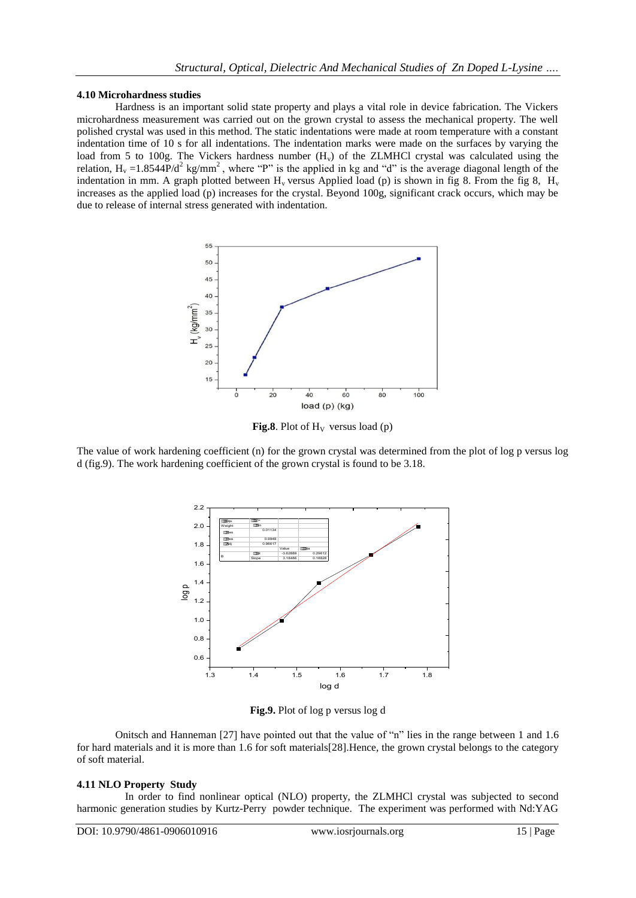#### **4.10 Microhardness studies**

Hardness is an important solid state property and plays a vital role in device fabrication. The Vickers microhardness measurement was carried out on the grown crystal to assess the mechanical property. The well polished crystal was used in this method. The static indentations were made at room temperature with a constant indentation time of 10 s for all indentations. The indentation marks were made on the surfaces by varying the load from 5 to 100g. The Vickers hardness number  $(H<sub>v</sub>)$  of the ZLMHCl crystal was calculated using the relation,  $H_v = 1.8544P/d^2$  kg/mm<sup>2</sup>, where "P" is the applied in kg and "d" is the average diagonal length of the indentation in mm. A graph plotted between  $H_v$  versus Applied load (p) is shown in fig 8. From the fig 8,  $H_v$ increases as the applied load (p) increases for the crystal. Beyond 100g, significant crack occurs, which may be due to release of internal stress generated with indentation.



**Fig.8**. Plot of  $H_V$  versus load (p)

The value of work hardening coefficient (n) for the grown crystal was determined from the plot of log p versus log d (fig.9). The work hardening coefficient of the grown crystal is found to be 3.18.



**Fig.9.** Plot of log p versus log d

Onitsch and Hanneman [27] have pointed out that the value of "n" lies in the range between 1 and 1.6 for hard materials and it is more than 1.6 for soft materials[28].Hence, the grown crystal belongs to the category of soft material.

## **4.11 NLO Property Study**

 In order to find nonlinear optical (NLO) property, the ZLMHCl crystal was subjected to second harmonic generation studies by Kurtz-Perry powder technique. The experiment was performed with Nd:YAG